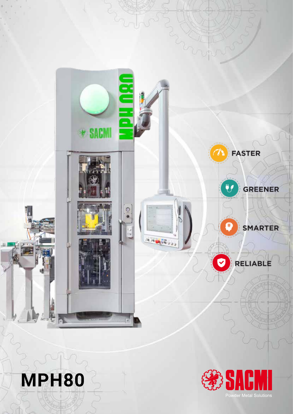